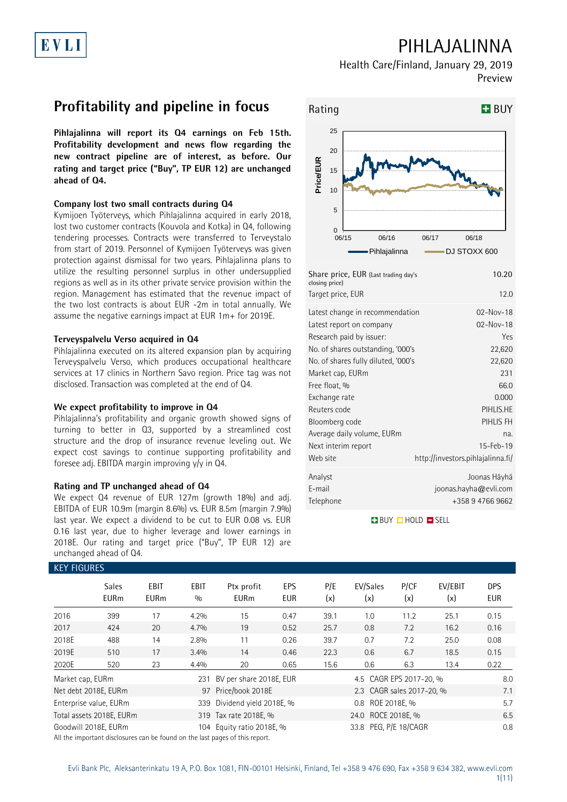## **PIHLAJALINNA**

**Health Care/Finland, January 29, 2019 Preview**

## **Profitability and pipeline in focus**

**Pihlajalinna will report its Q4 earnings on Feb 15th. Profitability development and news flow regarding the new contract pipeline are of interest, as before. Our rating and target price ("Buy", TP EUR 12) are unchanged ahead of Q4.**

#### **Company lost two small contracts during Q4**

Kymijoen Työterveys, which Pihlajalinna acquired in early 2018, lost two customer contracts (Kouvola and Kotka) in Q4, following tendering processes. Contracts were transferred to Terveystalo from start of 2019. Personnel of Kymijoen Työterveys was given protection against dismissal for two years. Pihlajalinna plans to utilize the resulting personnel surplus in other undersupplied regions as well as in its other private service provision within the region. Management has estimated that the revenue impact of the two lost contracts is about EUR -2m in total annually. We assume the negative earnings impact at EUR 1m+ for 2019E.

### **Terveyspalvelu Verso acquired in Q4**

Pihlajalinna executed on its altered expansion plan by acquiring Terveyspalvelu Verso, which produces occupational healthcare services at 17 clinics in Northern Savo region. Price tag was not disclosed. Transaction was completed at the end of Q4.

#### **We expect profitability to improve in Q4**

Pihlajalinna's profitability and organic growth showed signs of turning to better in Q3, supported by a streamlined cost structure and the drop of insurance revenue leveling out. We expect cost savings to continue supporting profitability and foresee adj. EBITDA margin improving y/y in Q4.

### **Rating and TP unchanged ahead of Q4**

We expect Q4 revenue of EUR 127m (growth 18%) and adj. EBITDA of EUR 10.9m (margin 8.6%) vs. EUR 8.5m (margin 7.9%) last year. We expect a dividend to be cut to EUR 0.08 vs. EUR 0.16 last year, due to higher leverage and lower earnings in 2018E. Our rating and target price ("Buy", TP EUR 12) are unchanged ahead of Q4.



| Share price, EUR (Last trading day's<br>closing price)<br>Target price, EUR | 10.20<br>12.0                     |
|-----------------------------------------------------------------------------|-----------------------------------|
|                                                                             | $02 - Nov - 18$                   |
| Latest change in recommendation                                             |                                   |
| Latest report on company                                                    | $02 - Nov - 18$                   |
| Research paid by issuer:                                                    | Yes                               |
| No. of shares outstanding, '000's                                           | 22,620                            |
| No. of shares fully diluted, '000's                                         | 22,620                            |
| Market cap, EURm                                                            | 231                               |
| Free float, %                                                               | 66.0                              |
| Exchange rate                                                               | 0.000                             |
| Reuters code                                                                | PIHLIS.HE                         |
| Bloomberg code                                                              | PIHLIS FH                         |
| Average daily volume, EURm                                                  | na.                               |
| Next interim report                                                         | 15-Feb-19                         |
| Web site                                                                    | http://investors.pihlajalinna.fi/ |
| Analyst                                                                     | Joonas Häyhä                      |
| E-mail                                                                      | joonas.hayha@evli.com             |
| Telephone                                                                   | +358 9 4766 9662                  |
|                                                                             |                                   |

**BUY O HOLD O SELL** 

| <b>KEY FIGURES</b> |                             |                     |                    |                           |                          |            |                           |             |                |                   |
|--------------------|-----------------------------|---------------------|--------------------|---------------------------|--------------------------|------------|---------------------------|-------------|----------------|-------------------|
|                    | <b>Sales</b><br><b>EURm</b> | EBIT<br><b>EURm</b> | <b>EBIT</b><br>0/0 | Ptx profit<br><b>EURm</b> | <b>EPS</b><br><b>EUR</b> | P/E<br>(x) | EV/Sales<br>(x)           | P/CF<br>(x) | EV/EBIT<br>(x) | <b>DPS</b><br>EUR |
| 2016               | 399                         | 17                  | 4.2%               | 15                        | 0.47                     | 39.1       | 1.0                       | 11.2        | 25.1           | 0.15              |
| 2017               | 424                         | 20                  | 4.7%               | 19                        | 0.52                     | 25.7       | 0.8                       | 7.2         | 16.2           | 0.16              |
| 2018E              | 488                         | 14                  | 2.8%               | 11                        | 0.26                     | 39.7       | 0.7                       | 7.2         | 25.0           | 0.08              |
| 2019E              | 510                         | 17                  | 3.4%               | 14                        | 0.46                     | 22.3       | 0.6                       | 6.7         | 18.5           | 0.15              |
| 2020E              | 520                         | 23                  | 4.4%               | 20                        | 0.65                     | 15.6       | $0.6\,$                   | 6.3         | 13.4           | 0.22              |
| Market cap, EURm   |                             |                     | 231                | BV per share 2018E, EUR   |                          |            | 4.5 CAGR EPS 2017-20, %   |             |                | 8.0               |
|                    | Net debt 2018E, EURm        |                     |                    | 97 Price/book 2018E       |                          |            | 2.3 CAGR sales 2017-20, % |             |                | 7.1               |
|                    | Enterprise value, EURm      |                     | 339                | Dividend yield 2018E, %   |                          |            | 0.8 ROE 2018E, %          |             |                | 5.7               |
|                    | Total assets 2018E, EURm    |                     |                    | 319 Tax rate 2018E, %     |                          |            |                           | 6.5         |                |                   |
|                    | Goodwill 2018E, EURm        |                     |                    | 104 Equity ratio 2018E, % |                          |            | 33.8 PEG, P/E 18/CAGR     | 0.8         |                |                   |

All the important disclosures can be found on the last pages of this report.

# EVLI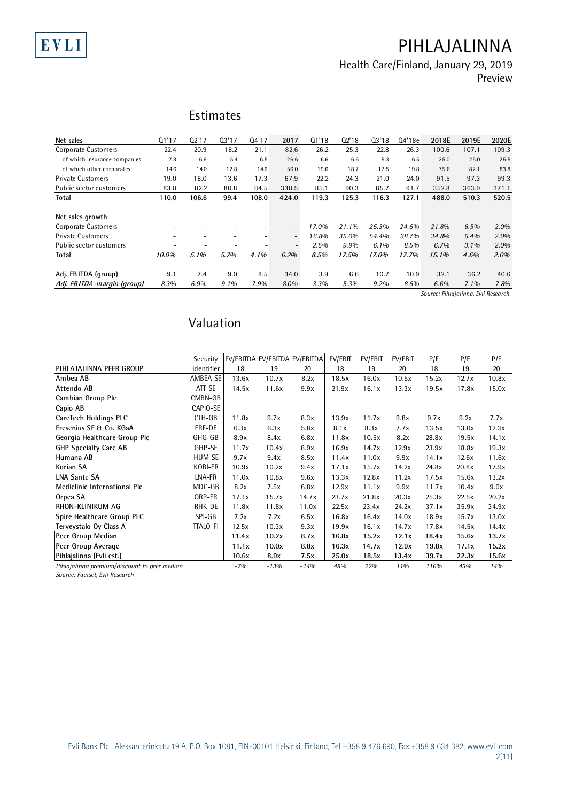## **PIHLAJALINNA**

**Health Care/Finland, January 29, 2019**

**Preview**

| Net sales                    | 01'17 | Q2'17                    | 03'17                    | 04'17                    | 2017                     | Q1'18   | Q2'18   | 03'18   | Q4'18e | 2018E | 2019E   | 2020E |
|------------------------------|-------|--------------------------|--------------------------|--------------------------|--------------------------|---------|---------|---------|--------|-------|---------|-------|
| <b>Corporate Customers</b>   | 22.4  | 20.9                     | 18.2                     | 21.1                     | 82.6                     | 26.2    | 25.3    | 22.8    | 26.3   | 100.6 | 107.1   | 109.3 |
| of which insurance companies | 7.8   | 6.9                      | 5.4                      | 6.5                      | 26.6                     | 6.6     | 6.6     | 5.3     | 6.5    | 25.0  | 25.0    | 25.5  |
| of which other corporates    | 14.6  | 14.0                     | 12.8                     | 14.6                     | 56.0                     | 19.6    | 18.7    | 17.5    | 19.8   | 75.6  | 82.1    | 83.8  |
| <b>Private Customers</b>     | 19.0  | 18.0                     | 13.6                     | 17.3                     | 67.9                     | 22.2    | 24.3    | 21.0    | 24.0   | 91.5  | 97.3    | 99.3  |
| Public sector customers      | 83.0  | 82.2                     | 80.8                     | 84.5                     | 330.5                    | 85.1    | 90.3    | 85.7    | 91.7   | 352.8 | 363.9   | 371.1 |
| Total                        | 110.0 | 106.6                    | 99.4                     | 108.0                    | 424.0                    | 119.3   | 125.3   | 116.3   | 127.1  | 488.0 | 510.3   | 520.5 |
|                              |       |                          |                          |                          |                          |         |         |         |        |       |         |       |
| Net sales growth             |       |                          |                          |                          |                          |         |         |         |        |       |         |       |
| <b>Corporate Customers</b>   |       |                          |                          | -                        | $\overline{\phantom{a}}$ | 17.0%   | 21.1%   | 25.3%   | 24.6%  | 21.8% | 6.5%    | 2.0%  |
| <b>Private Customers</b>     |       | $\overline{\phantom{a}}$ | $\overline{\phantom{0}}$ | $\overline{\phantom{0}}$ | $\overline{\phantom{0}}$ | 16.8%   | 35.0%   | 54.4%   | 38.7%  | 34.8% | 6.4%    | 2.0%  |
| Public sector customers      | -     | $\overline{\phantom{a}}$ | $\overline{\phantom{a}}$ |                          | -                        | $2.5\%$ | $9.9\%$ | $6.1\%$ | 8.5%   | 6.7%  | $3.1\%$ | 2.0%  |
| Total                        | 10.0% | 5.1%                     | 5.7%                     | 4.1%                     | $6.2\%$                  | 8.5%    | 17.5%   | 17.0%   | 17.7%  | 15.1% | 4.6%    | 2.0%  |
|                              |       |                          |                          |                          |                          |         |         |         |        |       |         |       |
| Adj. EBITDA (group)          | 9.1   | 7.4                      | 9.0                      | 8.5                      | 34.0                     | 3.9     | 6.6     | 10.7    | 10.9   | 32.1  | 36.2    | 40.6  |
| Adj. EBITDA-margin (group)   | 8.3%  | 6.9%                     | 9.1%                     | 7.9%                     | 8.0%                     | 3.3%    | 5.3%    | 9.2%    | 8.6%   | 6.6%  | $7.1\%$ | 7.8%  |

*Source: Pihlajalinna, Evli Research*

### **Valuation**

|                                              | valuation       |       |        |                               |         |         |         |       |       |       |
|----------------------------------------------|-----------------|-------|--------|-------------------------------|---------|---------|---------|-------|-------|-------|
|                                              |                 |       |        |                               |         |         |         |       |       |       |
|                                              |                 |       |        |                               |         |         |         |       |       |       |
|                                              | Security        |       |        | EV/EBITDA EV/EBITDA EV/EBITDA | EV/EBIT | EV/EBIT | EV/EBIT | P/E   | P/E   | P/E   |
| PIHLAJALINNA PEER GROUP                      | identifier      | 18    | 19     | 20                            | 18      | 19      | 20      | 18    | 19    | 20    |
| Ambea AB                                     | AMBEA-SE        | 13.6x | 10.7x  | 8.2x                          | 18.5x   | 16.0x   | 10.5x   | 15.2x | 12.7x | 10.8x |
| Attendo AB                                   | ATT-SE          | 14.5x | 11.6x  | 9.9x                          | 21.9x   | 16.1x   | 13.3x   | 19.5x | 17.8x | 15.0x |
| Cambian Group Plc                            | CMBN-GB         |       |        |                               |         |         |         |       |       |       |
| Capio AB                                     | CAPIO-SE        |       |        |                               |         |         |         |       |       |       |
| CareTech Holdings PLC                        | CTH-GB          | 11.8x | 9.7x   | 8.3x                          | 13.9x   | 11.7x   | 9.8x    | 9.7x  | 9.2x  | 7.7x  |
| Fresenius SE & Co. KGaA                      | FRE-DE          | 6.3x  | 6.3x   | 5.8x                          | 8.1x    | 8.3x    | 7.7x    | 13.5x | 13.0x | 12.3x |
| Georgia Healthcare Group Plc                 | GHG-GB          | 8.9x  | 8.4x   | 6.8x                          | 11.8x   | 10.5x   | 8.2x    | 28.8x | 19.5x | 14.1x |
| <b>GHP Specialty Care AB</b>                 | GHP-SE          | 11.7x | 10.4x  | 8.9x                          | 16.9x   | 14.7x   | 12.9x   | 23.9x | 18.8x | 19.3x |
| Humana AB                                    | HUM-SE          | 9.7x  | 9.4x   | 8.5x                          | 11.4x   | 11.0x   | 9.9x    | 14.1x | 12.6x | 11.6x |
| Korian SA                                    | <b>KORI-FR</b>  | 10.9x | 10.2x  | 9.4x                          | 17.1x   | 15.7x   | 14.2x   | 24.8x | 20.8x | 17.9x |
| <b>LNA Sante SA</b>                          | LNA-FR          | 11.0x | 10.8x  | 9.6x                          | 13.3x   | 12.8x   | 11.2x   | 17.5x | 15.6x | 13.2x |
| <b>Mediclinic International Plc</b>          | MDC-GB          | 8.2x  | 7.5x   | 6.8x                          | 12.9x   | 11.1x   | 9.9x    | 11.7x | 10.4x | 9.0x  |
| Orpea SA                                     | ORP-FR          | 17.1x | 15.7x  | 14.7x                         | 23.7x   | 21.8x   | 20.3x   | 25.3x | 22.5x | 20.2x |
| RHON-KLINIKUM AG                             | RHK-DE          | 11.8x | 11.8x  | 11.0x                         | 22.5x   | 23.4x   | 24.2x   | 37.1x | 35.9x | 34.9x |
| Spire Healthcare Group PLC                   | SPI-GB          | 7.2x  | 7.2x   | 6.5x                          | 16.8x   | 16.4x   | 14.0x   | 18.9x | 15.7x | 13.0x |
| Terveystalo Oy Class A                       | <b>TTALO-FI</b> | 12.5x | 10.3x  | 9.3x                          | 19.9x   | 16.1x   | 14.7x   | 17.8x | 14.5x | 14.4x |
| Peer Group Median                            |                 | 11.4x | 10.2x  | 8.7x                          | 16.8x   | 15.2x   | 12.1x   | 18.4x | 15.6x | 13.7x |
| Peer Group Average                           |                 | 11.1x | 10.0x  | 8.8x                          | 16.3x   | 14.7x   | 12.9x   | 19.8x | 17.1x | 15.2x |
| Pihlajalinna (Evli est.)                     |                 | 10.6x | 8.9x   | 7.5x                          | 25.0x   | 18.5x   | 13.4x   | 39.7x | 22.3x | 15.6x |
| Pihlajalinna premium/discount to peer median |                 | $-7%$ | $-13%$ | $-14%$                        | 48%     | 22%     | 11%     | 116%  | 43%   | 14%   |

*Source: Factset, Evli Research*

EVLI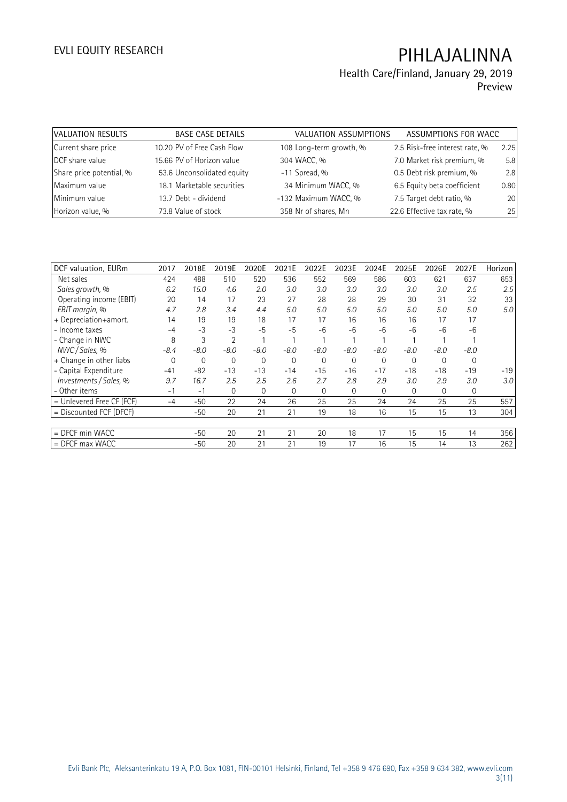### **Health Care/Finland, January 29, 2019 Preview**

| VALUATION RESULTS        | <b>BASE CASE DETAILS</b>   | VALUATION ASSUMPTIONS   | ASSUMPTIONS FOR WACC           |      |
|--------------------------|----------------------------|-------------------------|--------------------------------|------|
| Current share price      | 10.20 PV of Free Cash Flow | 108 Long-term growth, % | 2.5 Risk-free interest rate, % | 2.25 |
| DCF share value          | 15.66 PV of Horizon value  | 304 WACC, %             | 7.0 Market risk premium, %     | 5.8  |
| Share price potential, % | 53.6 Unconsolidated equity | $-11$ Spread, %         | 0.5 Debt risk premium, %       | 2.8  |
| Maximum value            | 18.1 Marketable securities | 34 Minimum WACC, %      | 6.5 Equity beta coefficient    | 0.80 |
| Minimum value            | 13.7 Debt - dividend       | -132 Maximum WACC, %    | 7.5 Target debt ratio, %       | 20   |
| Horizon value, %         | 73.8 Value of stock        | 358 Nr of shares, Mn    | 22.6 Effective tax rate, %     | 25   |

| DCF valuation, EURm       | 2017     | 2018E  | 2019E          | 2020E  | 2021E          | 2022E    | 2023E        | 2024E       | 2025E          | 2026E    | 2027E  | Horizon          |
|---------------------------|----------|--------|----------------|--------|----------------|----------|--------------|-------------|----------------|----------|--------|------------------|
| Net sales                 | 424      | 488    | 510            | 520    | 536            | 552      | 569          | 586         | 603            | 621      | 637    | 653              |
| Sales growth, %           | 6.2      | 15.0   | 4.6            | 2.0    | 3.0            | 3.0      | 3.0          | 3.0         | 3.0            | 3.0      | 2.5    | 2.5              |
| Operating income (EBIT)   | 20       | 14     | 17             | 23     | 27             | 28       | 28           | 29          | 30             | 31       | 32     | 33               |
| EBIT margin, %            | 4.7      | 2.8    | 3.4            | 4.4    | 5.0            | 5.0      | 5.0          | 5.0         | 5.0            | 5.0      | 5.0    | 5.0              |
| + Depreciation+amort.     | 14       | 19     | 19             | 18     | 17             | 17       | 16           | 16          | 16             | 17       | 17     |                  |
| - Income taxes            | $-4$     | $-3$   | $-3$           | $-5$   | $-5$           | -6       | $-6$         | $-6$        | $-6$           | $-6$     | $-6$   |                  |
| - Change in NWC           | 8        | 3      | $\overline{2}$ |        |                |          |              |             |                |          |        |                  |
| NWC / Sales, %            | -8.4     | $-8.0$ | $-8.0$         | $-8.0$ | $-8.0$         | $-8.0$   | $-8.0$       | $-8.0$      | $-8.0$         | $-8.0$   | $-8.0$ |                  |
| + Change in other liabs   | $\Omega$ | 0      | 0              | 0      | $\overline{0}$ | $\Omega$ | $\mathbf{0}$ | $\mathbf 0$ | 0              | $\Omega$ | 0      |                  |
| - Capital Expenditure     | $-41$    | $-82$  | $-13$          | $-13$  | $-14$          | $-15$    | $-16$        | $-17$       | $-18$          | $-18$    | $-19$  | $-19$            |
| Investments / Sales, %    | 9.7      | 16.7   | 2.5            | 2.5    | 2.6            | 2.7      | 2.8          | 2.9         | 3.0            | 2.9      | 3.0    | 3.0 <sup>°</sup> |
| - Other items             | $-1$     | $-1$   | $\overline{0}$ | 0      | $\overline{0}$ | $\Omega$ | $\mathbf{0}$ | 0           | $\overline{0}$ | $\Omega$ | 0      |                  |
| = Unlevered Free CF (FCF) | $-4$     | -50    | 22             | 24     | 26             | 25       | 25           | 24          | 24             | 25       | 25     | 557              |
| = Discounted FCF (DFCF)   |          | -50    | 20             | 21     | 21             | 19       | 18           | 16          | 15             | 15       | 13     | 304              |
|                           |          |        |                |        |                |          |              |             |                |          |        |                  |
| $=$ DFCF min WACC         |          | -50    | 20             | 21     | 21             | 20       | 18           | 17          | 15             | 15       | 14     | 356              |
| $=$ DFCF max WACC         |          | -50    | 20             | 21     | 21             | 19       | 17           | 16          | 15             | 14       | 13     | 262              |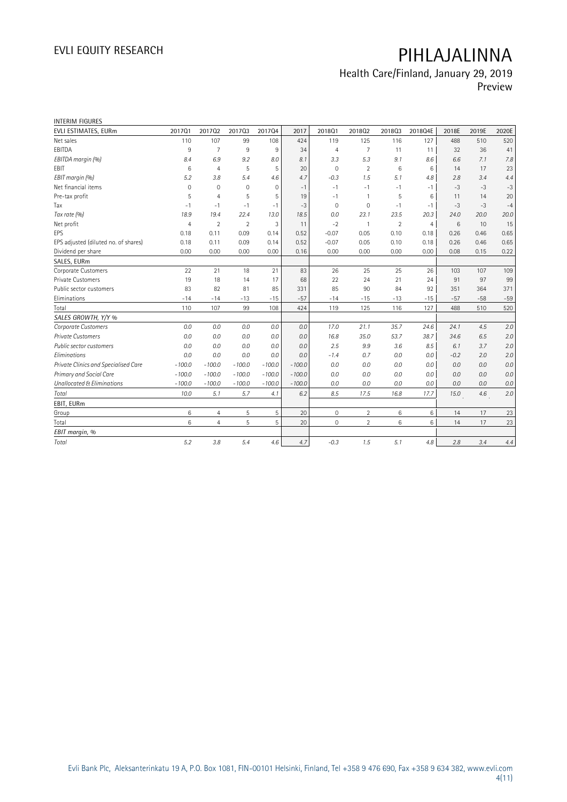### **Health Care/Finland, January 29, 2019 Preview**

| <b>INTERIM FIGURES</b>               |                |                |                |          |          |                |                |                |         |        |       |         |
|--------------------------------------|----------------|----------------|----------------|----------|----------|----------------|----------------|----------------|---------|--------|-------|---------|
| EVLI ESTIMATES, EURm                 | 201701         | 201702         | 201703         | 201704   | 2017     | 2018Q1         | 201802         | 201803         | 2018Q4E | 2018E  | 2019E | 2020E   |
| Net sales                            | 110            | 107            | 99             | 108      | 424      | 119            | 125            | 116            | 127     | 488    | 510   | 520     |
| EBITDA                               | 9              | $\overline{7}$ | 9              | 9        | 34       | $\overline{4}$ | $\overline{7}$ | 11             | 11      | 32     | 36    | 41      |
| EBITDA margin (%)                    | 8.4            | 6.9            | 9.2            | 8.0      | 8.1      | 3.3            | 5.3            | 9.1            | 8.6     | 6.6    | 7.1   | 7.8     |
| <b>FBIT</b>                          | 6              | $\overline{4}$ | 5              | 5        | 20       | $\mathbf 0$    | $\overline{2}$ | 6              | 6       | 14     | 17    | 23      |
| EBIT margin (%)                      | 5.2            | 3.8            | 5.4            | 4.6      | 4.7      | $-0.3$         | 1.5            | 5.1            | 4.8     | 2.8    | 3.4   | 4.4     |
| Net financial items                  | $\mathbf 0$    | $\mathbf 0$    | $\mathbf 0$    | 0        | $-1$     | $-1$           | $-1$           | $-1$           | $-1$    | $-3$   | $-3$  | $-3$    |
| Pre-tax profit                       | 5              | $\overline{4}$ | 5              | 5        | 19       | $-1$           | $\mathbf{1}$   | 5              | 6       | 11     | 14    | 20      |
| Tax                                  | $-1$           | $-1$           | $-1$           | $-1$     | $-3$     | $\mathbf 0$    | 0              | $-1$           | $-1$    | $-3$   | $-3$  | $-4$    |
| Tax rate (%)                         | 18.9           | 19.4           | 22.4           | 13.0     | 18.5     | 0.0            | 23.1           | 23.5           | 20.3    | 24.0   | 20.0  | 20.0    |
| Net profit                           | $\overline{4}$ | $\overline{2}$ | $\overline{2}$ | 3        | 11       | $-2$           | $\mathbf{1}$   | $\overline{2}$ | 4       | 6      | 10    | 15      |
| <b>EPS</b>                           | 0.18           | 0.11           | 0.09           | 0.14     | 0.52     | $-0.07$        | 0.05           | 0.10           | 0.18    | 0.26   | 0.46  | 0.65    |
| EPS adjusted (diluted no. of shares) | 0.18           | 0.11           | 0.09           | 0.14     | 0.52     | $-0.07$        | 0.05           | 0.10           | 0.18    | 0.26   | 0.46  | 0.65    |
| Dividend per share                   | 0.00           | 0.00           | 0.00           | 0.00     | 0.16     | 0.00           | 0.00           | 0.00           | 0.00    | 0.08   | 0.15  | 0.22    |
| SALES, EURm                          |                |                |                |          |          |                |                |                |         |        |       |         |
| Corporate Customers                  | 22             | 21             | 18             | 21       | 83       | 26             | 25             | 25             | 26      | 103    | 107   | 109     |
| <b>Private Customers</b>             | 19             | 18             | 14             | 17       | 68       | 22             | 24             | 21             | 24      | 91     | 97    | 99      |
| Public sector customers              | 83             | 82             | 81             | 85       | 331      | 85             | 90             | 84             | 92      | 351    | 364   | 371     |
| Eliminations                         | $-14$          | $-14$          | $-13$          | $-15$    | $-57$    | $-14$          | $-15$          | $-13$          | $-15$   | $-57$  | $-58$ | $-59$   |
| Total                                | 110            | 107            | 99             | 108      | 424      | 119            | 125            | 116            | 127     | 488    | 510   | 520     |
| SALES GROWTH, Y/Y %                  |                |                |                |          |          |                |                |                |         |        |       |         |
| Corporate Customers                  | 0.0            | 0.0            | 0.0            | 0.0      | 0.0      | 17.0           | 21.1           | 35.7           | 24.6    | 24.1   | 4.5   | 2.0     |
| <b>Private Customers</b>             | 0.0            | 0.0            | 0.0            | 0.0      | 0.0      | 16.8           | 35.0           | 53.7           | 38.7    | 34.6   | 6.5   | 2.0     |
| Public sector customers              | 0.0            | 0.0            | 0.0            | 0.0      | 0.0      | 2.5            | 9.9            | 3.6            | 8.5     | 6.1    | 3.7   | 2.0     |
| Eliminations                         | 0.0            | 0.0            | 0.0            | 0.0      | 0.0      | $-1.4$         | 0.7            | 0.0            | 0.0     | $-0.2$ | 2.0   | 2.0     |
| Private Clinics and Specialised Care | $-100.0$       | $-100.0$       | $-100.0$       | $-100.0$ | $-100.0$ | 0.0            | 0.0            | 0.0            | 0.0     | 0.0    | 0.0   | $0.0\,$ |
| Primary and Social Care              | $-100.0$       | $-100.0$       | $-100.0$       | $-100.0$ | $-100.0$ | 0.0            | 0.0            | 0.0            | 0.0     | 0.0    | 0.0   | 0.0     |
| Unallocated & Eliminations           | $-100.0$       | $-100.0$       | $-100.0$       | $-100.0$ | $-100.0$ | 0.0            | 0.0            | 0.0            | 0.0     | 0.0    | 0.0   | 0.0     |
| Total                                | 10.0           | 5.1            | 5.7            | 4.1      | 6.2      | 8.5            | 17.5           | 16.8           | 17.7    | 15.0   | 4.6   | 2.0     |
| EBIT, EURm                           |                |                |                |          |          |                |                |                |         |        |       |         |
| Group                                | 6              | $\overline{4}$ | 5              | 5        | 20       | $\mathbf{0}$   | $\overline{2}$ | 6              | 6       | 14     | 17    | 23      |
| Total                                | 6              | $\overline{4}$ | 5              | 5        | 20       | $\mathbf{0}$   | $\overline{2}$ | 6              | 6       | 14     | 17    | 23      |
| EBIT margin, %                       |                |                |                |          |          |                |                |                |         |        |       |         |
| Total                                | 5.2            | 3.8            | 5.4            | 4.6      | 4.7      | $-0.3$         | 1.5            | 5.1            | 4.8     | 2.8    | 3.4   | 4.4     |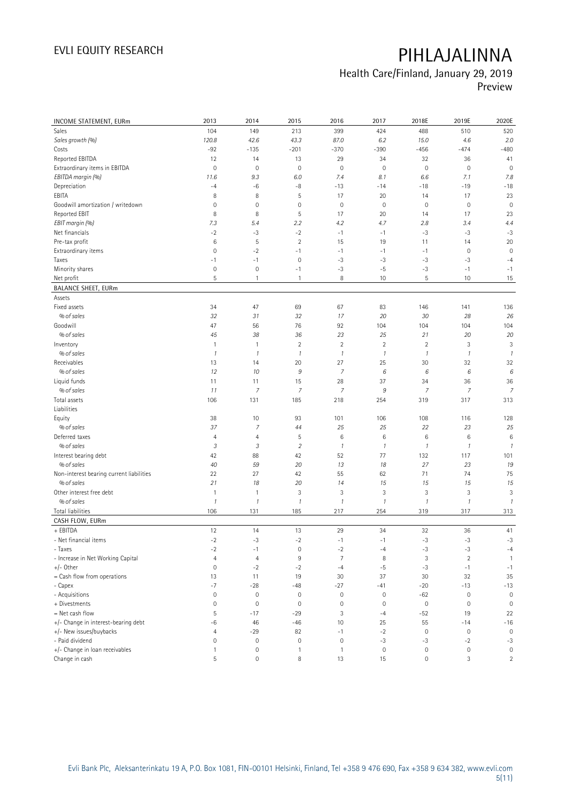## **Health Care/Finland, January 29, 2019**

**Preview**

| INCOME STATEMENT, EURm                                 | 2013                                  | 2014                   | 2015                | 2016                        | 2017            | 2018E               | 2019E                       | 2020E                |
|--------------------------------------------------------|---------------------------------------|------------------------|---------------------|-----------------------------|-----------------|---------------------|-----------------------------|----------------------|
| <b>Sales</b>                                           | 104                                   | 149                    | 213                 | 399                         | 424             | 488                 | 510                         | 520                  |
| Sales growth (%)                                       | 120.8                                 | 42.6                   | 43.3                | 87.0                        | 6.2             | 15.0                | 4.6                         | 2.0                  |
| Costs                                                  | $-92$                                 | $-135$                 | $-201$              | $-370$                      | $-390$          | $-456$              | $-474$                      | $-480$               |
| Reported EBITDA                                        | 12                                    | 14                     | 13                  | 29                          | 34              | 32                  | 36                          | 41                   |
| Extraordinary items in EBITDA                          | $\mathbf 0$                           | $\mathbf 0$            | $\mathbf 0$         | $\mathsf{O}\xspace$         | $\mathbf 0$     | $\mathbf 0$         | $\mathbf 0$                 | $\mathbf 0$          |
| EBITDA margin (%)                                      | 11.6                                  | 9.3                    | 6.0                 | 7.4                         | 8.1             | 6.6                 | 7.1                         | 7.8                  |
| Depreciation                                           | $-4$                                  | -6                     | $-8$                | $-13$                       | $-14$           | $-18$               | $-19$                       | $-18$                |
| EBITA                                                  | 8                                     | 8                      | 5                   | 17                          | 20              | 14                  | 17                          | 23                   |
| Goodwill amortization / writedown                      | $\mathbf 0$                           | $\mathbf 0$            | $\mathsf{O}\xspace$ | $\mathsf{O}\xspace$         | $\mathbf 0$     | $\mathbf 0$         | $\mathbf 0$                 | $\mathbf 0$          |
| Reported EBIT                                          | 8                                     | 8                      | 5                   | 17                          | 20              | 14                  | 17                          | 23                   |
| EBIT margin (%)                                        | 7.3                                   | 5.4                    | 2.2                 | 4.2                         | 4.7             | 2.8                 | 3.4                         | 4.4                  |
| Net financials                                         | $-2$                                  | $-3$                   | $-2$                | $-1$                        | $-1$            | $-3$                | $-3$                        | $-3$                 |
| Pre-tax profit                                         | $\,6$                                 | 5                      | $\overline{2}$      | 15                          | 19              | 11                  | 14                          | 20                   |
| Extraordinary items                                    | $\mathbf 0$                           | $-2$                   | $-1$                | $-1$                        | $-1$            | $-1$                | $\mathbf 0$                 | $\mathbf 0$          |
| Taxes                                                  | $-1$                                  | $-1$                   | $\mathbf 0$         | $-3$                        | $-3$            | $-3$                | $-3$                        | $-4$                 |
| Minority shares                                        | $\mathsf{O}\xspace$                   | $\mathbf 0$            | $-1$                | $-3$                        | $-5$            | $-3$                | $-1$                        | $-1$                 |
| Net profit                                             | 5                                     | $\mathbf{1}$           | $\mathbf{1}$        | 8                           | 10              | 5                   | 10                          | 15                   |
| <b>BALANCE SHEET, EURm</b>                             |                                       |                        |                     |                             |                 |                     |                             |                      |
| Assets                                                 |                                       |                        |                     |                             |                 |                     |                             |                      |
| Fixed assets                                           | 34                                    | 47                     | 69                  | 67                          | 83              | 146                 | 141                         | 136                  |
| % of sales                                             | 32                                    | 31                     | 32                  | 17                          | 20              | 30                  | 28                          | 26                   |
| Goodwill                                               | 47                                    | 56                     | 76                  | 92                          | 104             | 104                 | 104                         | 104                  |
| % of sales                                             | 45                                    | 38                     | 36                  | 23                          | 25              | 21                  | 20                          | 20                   |
| Inventory                                              | $\mathbf{1}$                          | $\mathbf{1}$           | $\overline{2}$      | $\overline{2}$              | $\sqrt{2}$      | $\overline{2}$      | 3                           | 3                    |
| % of sales                                             | $\mathcal{I}$                         | $\mathcal{I}$          | $\mathcal{I}$       | $\it 1$                     | $\mathcal{I}$   | $\mathbf{1}$        | $\mathcal{I}$               | $\mathcal{I}$        |
| Receivables                                            | 13                                    | 14                     | 20                  | 27                          | 25              | 30                  | 32                          | 32                   |
| % of sales                                             | 12                                    | 10                     | $\boldsymbol{9}$    | $\overline{7}$              | 6               | 6                   | 6                           | 6                    |
| Liquid funds                                           | 11                                    | 11                     | 15                  | 28                          | 37              | 34                  | 36                          |                      |
| % of sales                                             | 11                                    | $\overline{7}$         | $\overline{7}$      | $\overline{7}$              | 9               | $\overline{7}$      | $\overline{7}$              | 36<br>$\overline{7}$ |
| Total assets                                           | 106                                   | 131                    | 185                 | 218                         | 254             | 319                 | 317                         | 313                  |
| Liabilities                                            |                                       |                        |                     |                             |                 |                     |                             |                      |
| Equity                                                 | 38                                    | 10                     | 93                  | 101                         | 106             | 108                 | 116                         | 128                  |
| % of sales                                             | 37                                    | 7                      | 44                  | 25                          | 25              | 22                  | 23                          | 25                   |
| Deferred taxes                                         | $\overline{4}$                        | 4                      | 5                   | $6\,$                       | $6\phantom{1}6$ | $\,$ 6 $\,$         | 6                           | $\,6$                |
| % of sales                                             | $\mathfrak{Z}$                        | 3                      | $\overline{2}$      | $\it 1$                     | $\mathcal{I}$   | $\mathbf{1}$        | $\mathcal{I}$               | $\mathcal{I}$        |
|                                                        | 42                                    |                        |                     | 52                          | 77              | 132                 |                             | 101                  |
| Interest bearing debt<br>% of sales                    | 40                                    | 88<br>59               | 42<br>20            | 13                          | 18              | 27                  | 117<br>23                   | 19                   |
|                                                        |                                       |                        |                     |                             |                 | 71                  |                             |                      |
| Non-interest bearing current liabilities<br>% of sales | 22<br>21                              | 27<br>18               | 42<br>20            | 55<br>14                    | 62<br>15        | 15                  | 74<br>15                    | 75                   |
| Other interest free debt                               |                                       | $\mathbf{1}$           | 3                   | $\sqrt{3}$                  | $\sqrt{3}$      | $\sqrt{3}$          | 3                           | 15<br>3              |
| % of sales                                             | $\overline{1}$<br>$\mathcal{I}$       | $\mathcal I$           | $\mathcal{I}$       | $\it 1$                     | $\mathcal{I}$   | $\mathcal{I}$       | $\mathcal{I}$               | $\mathcal{I}$        |
| <b>Total liabilities</b>                               | 106                                   | 131                    | 185                 | 217                         | 254             | 319                 | 317                         | 313                  |
| CASH FLOW, EURm                                        |                                       |                        |                     |                             |                 |                     |                             |                      |
| + EBITDA                                               | 12                                    | 14                     | 13                  | 29                          | 34              | 32                  | 36                          | 41                   |
| - Net financial items                                  | $-2$                                  | $-3$                   | $-2$                | $-1$                        | $-1$            | $-3$                | $-3$                        | $-3$                 |
| - Taxes                                                | $-2$                                  | $-1$                   | 0                   | $-2$                        | $-4$            | $-3$                | -3                          | $-4$                 |
|                                                        | $\overline{4}$                        |                        | 9                   | $\overline{7}$              | 8               | 3                   | $\overline{2}$              |                      |
| - Increase in Net Working Capital<br>$+/-$ Other       | $\mathsf{O}\xspace$                   | $\overline{4}$<br>$-2$ | $-2$                | $-4$                        | -5              | $-3$                | $-1$                        | $\mathbf{1}$<br>$-1$ |
|                                                        | 13                                    | 11                     | 19                  | 30                          | 37              | 30                  | 32                          | 35                   |
| = Cash flow from operations<br>- Capex                 | $-7$                                  | $-28$                  | $-48$               | $-27$                       | -41             | $-20$               | $-13$                       | $-13$                |
| - Acquisitions                                         | $\mathsf{O}\xspace$                   | $\mathbf 0$            | $\mathsf{O}\xspace$ | $\mathbb O$                 | $\mathbb O$     | $-62$               | $\mathbf 0$                 | $\mathbb O$          |
| + Divestments                                          | $\mathsf{O}\xspace$                   | $\mathbb O$            | $\mathsf{O}\xspace$ | $\mathsf{O}\xspace$         | $\mathbf 0$     | $\mathbb O$         | $\mathbf 0$                 | $\mathbb O$          |
| = Net cash flow                                        | 5                                     | $-17$                  |                     | 3                           |                 |                     | 19                          | 22                   |
| +/- Change in interest-bearing debt                    |                                       |                        | $-29$<br>$-46$      | 10                          | $-4$            | $-52$<br>55         | $-14$                       |                      |
|                                                        | $-6$                                  | 46                     |                     |                             | 25              |                     |                             | $-16$                |
| +/- New issues/buybacks<br>- Paid dividend             | $\overline{4}$<br>$\mathsf{O}\xspace$ | $-29$<br>$\mathbf 0$   | 82                  | $-1$<br>$\mathsf{O}\xspace$ | $-2$<br>$-3$    | $\mathbf 0$         | $\mathbf 0$                 | $\mathbb O$          |
| +/- Change in loan receivables                         |                                       | $\mathbf 0$            | 0<br>$\mathbf{1}$   | $\mathbf{1}$                | $\mathbf 0$     | $-3$<br>$\mathbf 0$ | $-2$<br>$\mathsf{O}\xspace$ | $-3$<br>$\mathbb O$  |
| Change in cash                                         | $\mathbf{1}$<br>5                     | $\mathbf 0$            | 8                   | 13                          | 15              | $\mathbf 0$         | 3                           |                      |
|                                                        |                                       |                        |                     |                             |                 |                     |                             | $\overline{2}$       |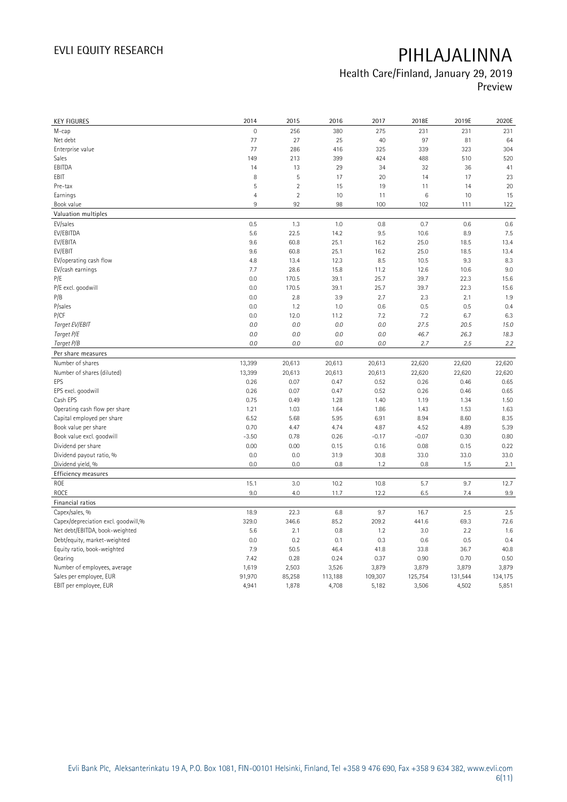### **Health Care/Finland, January 29, 2019 Preview**

| <b>KEY FIGURES</b>                  | 2014                | 2015           | 2016           | 2017           | 2018E          | 2019E          | 2020E        |
|-------------------------------------|---------------------|----------------|----------------|----------------|----------------|----------------|--------------|
| M-cap                               | $\mathsf{O}\xspace$ | 256            | 380            | 275            | 231            | 231            | 231          |
| Net debt                            | 77                  | 27             | 25             | 40             | 97             | 81             | 64           |
| Enterprise value                    | 77                  | 286            | 416            | 325            | 339            | 323            | 304          |
| Sales                               | 149                 | 213            | 399            | 424            | 488            | 510            | 520          |
| EBITDA                              | 14                  | 13             | 29             | 34             | 32             | 36             | 41           |
| EBIT                                | 8                   | 5              | 17             | 20             | 14             | 17             | 23           |
| Pre-tax                             | 5                   | $\sqrt{2}$     | 15             | 19             | 11             | 14             | 20           |
| Earnings                            | $\overline{4}$      | $\overline{2}$ | 10             | 11             | 6              | 10             | 15           |
| Book value                          | 9                   | 92             | 98             | 100            | 102            | 111            | 122          |
| Valuation multiples                 |                     |                |                |                |                |                |              |
| EV/sales                            | 0.5                 | 1.3            | 1.0            | 0.8            | 0.7            | 0.6            | 0.6          |
| EV/EBITDA                           | 5.6                 | 22.5           | 14.2           | 9.5            | 10.6           | 8.9            | 7.5          |
| EV/EBITA                            | 9.6                 | 60.8           | 25.1           | 16.2           | 25.0           | 18.5           | 13.4         |
| EV/EBIT                             | 9.6                 | 60.8           | 25.1           | 16.2           | 25.0           | 18.5           | 13.4         |
| EV/operating cash flow              | 4.8                 | 13.4           | 12.3           | 8.5            | 10.5           | 9.3            | 8.3          |
| EV/cash earnings                    | 7.7                 | 28.6           | 15.8           | 11.2           | 12.6           | 10.6           | 9.0          |
| P/E                                 | 0.0                 | 170.5          | 39.1           | 25.7           | 39.7           | 22.3           | 15.6         |
| P/E excl. goodwill                  | 0.0                 | 170.5          | 39.1           | 25.7           | 39.7           | 22.3           | 15.6         |
| P/B                                 | 0.0                 | 2.8            | 3.9            | 2.7            | 2.3            | 2.1            | 1.9          |
| P/sales                             | 0.0                 | 1.2            | 1.0            | 0.6            | 0.5            | 0.5            | 0.4          |
| P/CF                                | 0.0                 | 12.0           | 11.2           | 7.2            | 7.2            | 6.7            | 6.3          |
| Target EV/EBIT                      | 0.0                 | 0.0            | 0.0            | 0.0            | 27.5           | 20.5           | 15.0         |
| Target P/E                          | 0.0                 | 0.0            | 0.0            | 0.0            | 46.7           | 26.3           | 18.3         |
| Target P/B                          | 0.0                 | 0.0            | 0.0            | 0.0            | 2.7            | 2.5            | 2.2          |
| Per share measures                  |                     |                |                |                |                |                |              |
| Number of shares                    |                     |                |                |                |                |                |              |
|                                     | 13,399              | 20,613         | 20,613         | 20,613         | 22,620         | 22,620         | 22,620       |
| Number of shares (diluted)<br>EPS   | 13,399<br>0.26      | 20,613         | 20,613<br>0.47 | 20,613<br>0.52 | 22,620<br>0.26 | 22,620<br>0.46 | 22,620       |
|                                     | 0.26                | 0.07           | 0.47           |                | 0.26           | 0.46           | 0.65<br>0.65 |
| EPS excl. goodwill<br>Cash EPS      | 0.75                | 0.07<br>0.49   | 1.28           | 0.52<br>1.40   | 1.19           | 1.34           | 1.50         |
|                                     |                     |                |                |                |                |                |              |
| Operating cash flow per share       | 1.21                | 1.03           | 1.64           | 1.86           | 1.43           | 1.53           | 1.63         |
| Capital employed per share          | 6.52<br>0.70        | 5.68           | 5.95           | 6.91           | 8.94           | 8.60<br>4.89   | 8.35         |
| Book value per share                |                     | 4.47           | 4.74           | 4.87           | 4.52           |                | 5.39<br>0.80 |
| Book value excl. goodwill           | $-3.50$             | 0.78           | 0.26           | $-0.17$        | $-0.07$        | 0.30           |              |
| Dividend per share                  | 0.00                | 0.00           | 0.15           | 0.16           | 0.08           | 0.15           | 0.22         |
| Dividend payout ratio, %            | 0.0<br>0.0          | 0.0<br>0.0     | 31.9<br>0.8    | 30.8<br>1.2    | 33.0<br>0.8    | 33.0<br>1.5    | 33.0         |
| Dividend yield, %                   |                     |                |                |                |                |                | 2.1          |
| <b>Efficiency measures</b>          |                     |                |                |                |                |                |              |
| ROE                                 | 15.1                | 3.0            | 10.2           | 10.8           | 5.7            | 9.7            | 12.7         |
| <b>ROCE</b>                         | 9.0                 | 4.0            | 11.7           | 12.2           | 6.5            | 7.4            | 9.9          |
| Financial ratios                    |                     |                |                |                |                |                |              |
| Capex/sales, %                      | 18.9                | 22.3           | 6.8            | 9.7            | 16.7           | 2.5            | 2.5          |
| Capex/depreciation excl. goodwill,% | 329.0               | 346.6          | 85.2           | 209.2          | 441.6          | 69.3           | 72.6         |
| Net debt/EBITDA, book-weighted      | 5.6                 | 2.1            | 0.8            | 1.2            | 3.0            | 2.2            | 1.6          |
| Debt/equity, market-weighted        | 0.0                 | 0.2            | 0.1            | 0.3            | 0.6            | 0.5            | 0.4          |
| Equity ratio, book-weighted         | 7.9                 | 50.5           | 46.4           | 41.8           | 33.8           | 36.7           | 40.8         |
| Gearing                             | 7.42                | 0.28           | 0.24           | 0.37           | 0.90           | 0.70           | 0.50         |
| Number of employees, average        | 1,619               | 2,503          | 3,526          | 3,879          | 3,879          | 3,879          | 3,879        |
| Sales per employee, EUR             | 91,970              | 85,258         | 113,188        | 109,307        | 125,754        | 131,544        | 134,175      |
| EBIT per employee, EUR              | 4,941               | 1,878          | 4,708          | 5,182          | 3,506          | 4,502          | 5,851        |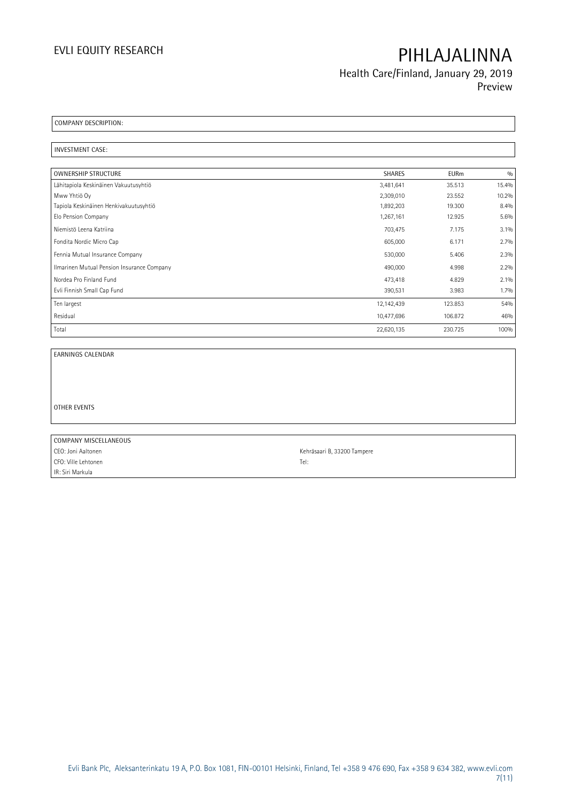**Health Care/Finland, January 29, 2019 Preview**

**COMPANY DESCRIPTION:** 

**INVESTMENT CASE:** 

| <b>OWNERSHIP STRUCTURE</b>                 | <b>SHARES</b> | <b>EURm</b> | 0/0     |
|--------------------------------------------|---------------|-------------|---------|
| Lähitapiola Keskinäinen Vakuutusyhtiö      | 3,481,641     | 35.513      | 15.4%   |
| Mww Yhtiö Oy                               | 2,309,010     | 23.552      | 10.2%   |
| Tapiola Keskinäinen Henkivakuutusyhtiö     | 1,892,203     | 19.300      | 8.4%    |
| Elo Pension Company                        | 1,267,161     | 12.925      | 5.6%    |
| Niemistö Leena Katriina                    | 703,475       | 7.175       | $3.1\%$ |
| Fondita Nordic Micro Cap                   | 605,000       | 6.171       | 2.7%    |
| Fennia Mutual Insurance Company            | 530,000       | 5.406       | 2.3%    |
| Ilmarinen Mutual Pension Insurance Company | 490,000       | 4.998       | 2.2%    |
| Nordea Pro Finland Fund                    | 473,418       | 4.829       | 2.1%    |
| Evli Finnish Small Cap Fund                | 390,531       | 3.983       | 1.7%    |
| Ten largest                                | 12,142,439    | 123.853     | 54%     |
| Residual                                   | 10,477,696    | 106.872     | 46%     |
| Total                                      | 22,620,135    | 230.725     | 100%    |

**EARNINGS CALENDAR**

**OTHER EVENTS**

**COMPANY MISCELLANEOUS** CEO: Joni Aaltonen Kehräsaari B, 33200 Tampere CFO: Ville Lehtonen Tel: IR: Siri Markula

 $\overline{\phantom{0}}$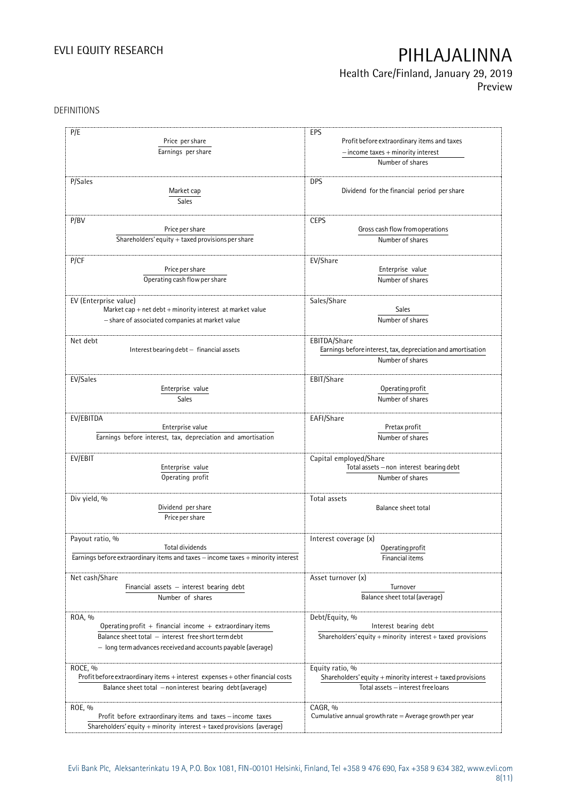### **Health Care/Finland, January 29, 2019 Preview**

DEFINITIONS

| P/E                                                                              | EPS                                                          |
|----------------------------------------------------------------------------------|--------------------------------------------------------------|
| Price per share                                                                  | Profit before extraordinary items and taxes                  |
| Earnings per share                                                               | $-$ income taxes $+$ minority interest                       |
|                                                                                  | Number of shares                                             |
|                                                                                  |                                                              |
| P/Sales                                                                          | <b>DPS</b>                                                   |
| Market cap                                                                       | Dividend for the financial period per share                  |
| Sales                                                                            |                                                              |
|                                                                                  |                                                              |
| P/BV                                                                             | <b>CEPS</b>                                                  |
| Price per share                                                                  | Gross cash flow from operations                              |
| Shareholders' equity $+$ taxed provisions per share                              | Number of shares                                             |
|                                                                                  |                                                              |
| P/CF                                                                             | EV/Share                                                     |
| Price per share                                                                  | Enterprise value                                             |
|                                                                                  |                                                              |
| Operating cash flow per share                                                    | Number of shares                                             |
|                                                                                  |                                                              |
| EV (Enterprise value)                                                            | Sales/Share                                                  |
| Market cap $+$ net debt $+$ minority interest at market value                    | <b>Sales</b>                                                 |
| - share of associated companies at market value                                  | Number of shares                                             |
|                                                                                  |                                                              |
| Net debt                                                                         | EBITDA/Share                                                 |
| Interest bearing debt - financial assets                                         | Earnings before interest, tax, depreciation and amortisation |
|                                                                                  | Number of shares                                             |
|                                                                                  |                                                              |
| EV/Sales                                                                         | EBIT/Share                                                   |
| Enterprise value                                                                 | Operating profit                                             |
| Sales                                                                            | Number of shares                                             |
|                                                                                  |                                                              |
| EV/EBITDA                                                                        | EAFI/Share                                                   |
| Enterprise value                                                                 | Pretax profit                                                |
| Earnings before interest, tax, depreciation and amortisation                     | Number of shares                                             |
|                                                                                  |                                                              |
| EV/EBIT                                                                          | Capital employed/Share                                       |
| Enterprise value                                                                 | Total assets - non interest bearing debt                     |
| Operating profit                                                                 | Number of shares                                             |
|                                                                                  |                                                              |
| Div yield, %                                                                     | Total assets                                                 |
| Dividend per share                                                               | Balance sheet total                                          |
| Price per share                                                                  |                                                              |
|                                                                                  |                                                              |
|                                                                                  |                                                              |
| Payout ratio, %<br>Total dividends                                               | Interest coverage (x)                                        |
|                                                                                  | Operating profit                                             |
| Earnings before extraordinary items and taxes - income taxes + minority interest | Financial items                                              |
|                                                                                  |                                                              |
| Net cash/Share                                                                   | Asset turnover (x)                                           |
| Financial assets - interest bearing debt                                         | Turnover                                                     |
| Number of shares                                                                 | Balance sheet total (average)                                |
|                                                                                  |                                                              |
| ROA, %                                                                           | Debt/Equity, %                                               |
| Operating profit $+$ financial income $+$ extraordinary items                    | Interest bearing debt                                        |
| Balance sheet total - interest free short term debt                              | Shareholders' equity + minority interest + taxed provisions  |
| - long term advances received and accounts payable (average)                     |                                                              |
|                                                                                  |                                                              |
| ROCE, %                                                                          | Equity ratio, %                                              |
| Profit before extraordinary items + interest expenses + other financial costs    | Shareholders' equity + minority interest + taxed provisions  |
| Balance sheet total - non interest bearing debt (average)                        | Total assets - interest free loans                           |
|                                                                                  |                                                              |
| ROE, %                                                                           | CAGR, %                                                      |
| Profit before extraordinary items and taxes - income taxes                       | Cumulative annual growth rate = Average growth per year      |
| Shareholders' equity + minority interest + taxed provisions (average)            |                                                              |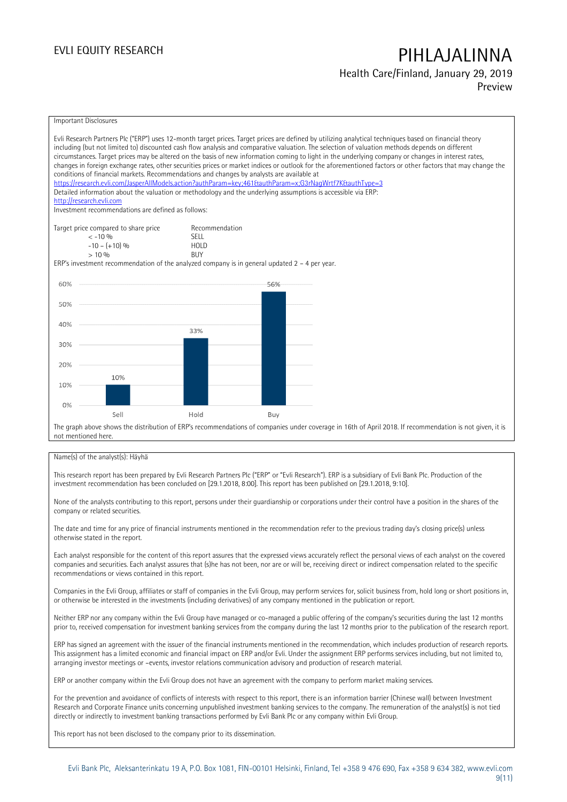### **Health Care/Finland, January 29, 2019 Preview**

Important Disclosures

| Evli Research Partners Plc ("ERP") uses 12-month target prices. Target prices are defined by utilizing analytical techniques based on financial theory<br>including (but not limited to) discounted cash flow analysis and comparative valuation. The selection of valuation methods depends on different<br>circumstances. Target prices may be altered on the basis of new information coming to light in the underlying company or changes in interest rates,<br>changes in foreign exchange rates, other securities prices or market indices or outlook for the aforementioned factors or other factors that may change the<br>conditions of financial markets. Recommendations and changes by analysts are available at<br>https://research.evli.com/JasperAllModels.action?authParam=key;461&tauthParam=x;G3rNaqWrtf7K&tauthType=3<br>Detailed information about the valuation or methodology and the underlying assumptions is accessible via ERP:<br>http://research.evli.com<br>Investment recommendations are defined as follows: |                |     |                                                                                                                                                          |
|---------------------------------------------------------------------------------------------------------------------------------------------------------------------------------------------------------------------------------------------------------------------------------------------------------------------------------------------------------------------------------------------------------------------------------------------------------------------------------------------------------------------------------------------------------------------------------------------------------------------------------------------------------------------------------------------------------------------------------------------------------------------------------------------------------------------------------------------------------------------------------------------------------------------------------------------------------------------------------------------------------------------------------------------|----------------|-----|----------------------------------------------------------------------------------------------------------------------------------------------------------|
| Target price compared to share price                                                                                                                                                                                                                                                                                                                                                                                                                                                                                                                                                                                                                                                                                                                                                                                                                                                                                                                                                                                                        | Recommendation |     |                                                                                                                                                          |
| $< -10\%$                                                                                                                                                                                                                                                                                                                                                                                                                                                                                                                                                                                                                                                                                                                                                                                                                                                                                                                                                                                                                                   | <b>SFII</b>    |     |                                                                                                                                                          |
| $-10 - (+10)$ %                                                                                                                                                                                                                                                                                                                                                                                                                                                                                                                                                                                                                                                                                                                                                                                                                                                                                                                                                                                                                             | <b>HOLD</b>    |     |                                                                                                                                                          |
| $> 10\%$                                                                                                                                                                                                                                                                                                                                                                                                                                                                                                                                                                                                                                                                                                                                                                                                                                                                                                                                                                                                                                    | <b>BUY</b>     |     |                                                                                                                                                          |
| ERP's investment recommendation of the analyzed company is in general updated $2 - 4$ per year.                                                                                                                                                                                                                                                                                                                                                                                                                                                                                                                                                                                                                                                                                                                                                                                                                                                                                                                                             |                |     |                                                                                                                                                          |
| 60%                                                                                                                                                                                                                                                                                                                                                                                                                                                                                                                                                                                                                                                                                                                                                                                                                                                                                                                                                                                                                                         |                | 56% |                                                                                                                                                          |
|                                                                                                                                                                                                                                                                                                                                                                                                                                                                                                                                                                                                                                                                                                                                                                                                                                                                                                                                                                                                                                             |                |     |                                                                                                                                                          |
| 50%                                                                                                                                                                                                                                                                                                                                                                                                                                                                                                                                                                                                                                                                                                                                                                                                                                                                                                                                                                                                                                         |                |     |                                                                                                                                                          |
|                                                                                                                                                                                                                                                                                                                                                                                                                                                                                                                                                                                                                                                                                                                                                                                                                                                                                                                                                                                                                                             |                |     |                                                                                                                                                          |
| 40%                                                                                                                                                                                                                                                                                                                                                                                                                                                                                                                                                                                                                                                                                                                                                                                                                                                                                                                                                                                                                                         |                |     |                                                                                                                                                          |
|                                                                                                                                                                                                                                                                                                                                                                                                                                                                                                                                                                                                                                                                                                                                                                                                                                                                                                                                                                                                                                             | 33%            |     |                                                                                                                                                          |
|                                                                                                                                                                                                                                                                                                                                                                                                                                                                                                                                                                                                                                                                                                                                                                                                                                                                                                                                                                                                                                             |                |     |                                                                                                                                                          |
| 30%                                                                                                                                                                                                                                                                                                                                                                                                                                                                                                                                                                                                                                                                                                                                                                                                                                                                                                                                                                                                                                         |                |     |                                                                                                                                                          |
|                                                                                                                                                                                                                                                                                                                                                                                                                                                                                                                                                                                                                                                                                                                                                                                                                                                                                                                                                                                                                                             |                |     |                                                                                                                                                          |
| 20%                                                                                                                                                                                                                                                                                                                                                                                                                                                                                                                                                                                                                                                                                                                                                                                                                                                                                                                                                                                                                                         |                |     |                                                                                                                                                          |
| 10%                                                                                                                                                                                                                                                                                                                                                                                                                                                                                                                                                                                                                                                                                                                                                                                                                                                                                                                                                                                                                                         |                |     |                                                                                                                                                          |
| 10%                                                                                                                                                                                                                                                                                                                                                                                                                                                                                                                                                                                                                                                                                                                                                                                                                                                                                                                                                                                                                                         |                |     |                                                                                                                                                          |
|                                                                                                                                                                                                                                                                                                                                                                                                                                                                                                                                                                                                                                                                                                                                                                                                                                                                                                                                                                                                                                             |                |     |                                                                                                                                                          |
| 0%                                                                                                                                                                                                                                                                                                                                                                                                                                                                                                                                                                                                                                                                                                                                                                                                                                                                                                                                                                                                                                          |                |     |                                                                                                                                                          |
| Sell                                                                                                                                                                                                                                                                                                                                                                                                                                                                                                                                                                                                                                                                                                                                                                                                                                                                                                                                                                                                                                        | Hold           | Buy |                                                                                                                                                          |
|                                                                                                                                                                                                                                                                                                                                                                                                                                                                                                                                                                                                                                                                                                                                                                                                                                                                                                                                                                                                                                             |                |     | The graph above shows the distribution of ERP's recommendations of companies under coverage in 16th of April 2018. If recommendation is not given, it is |
| not mentioned here.                                                                                                                                                                                                                                                                                                                                                                                                                                                                                                                                                                                                                                                                                                                                                                                                                                                                                                                                                                                                                         |                |     |                                                                                                                                                          |

#### Name(s) of the analyst(s): Häyhä

This research report has been prepared by Evli Research Partners Plc ("ERP" or "Evli Research"). ERP is a subsidiary of Evli Bank Plc. Production of the investment recommendation has been concluded on [29.1.2018, 8:00]. This report has been published on [29.1.2018, 9:10].

None of the analysts contributing to this report, persons under their guardianship or corporations under their control have a position in the shares of the company or related securities.

The date and time for any price of financial instruments mentioned in the recommendation refer to the previous trading day's closing price(s) unless otherwise stated in the report.

Each analyst responsible for the content of this report assures that the expressed views accurately reflect the personal views of each analyst on the covered companies and securities. Each analyst assures that (s)he has not been, nor are or will be, receiving direct or indirect compensation related to the specific recommendations or views contained in this report.

Companies in the Evli Group, affiliates or staff of companies in the Evli Group, may perform services for, solicit business from, hold long or short positions in, or otherwise be interested in the investments (including derivatives) of any company mentioned in the publication or report.

Neither ERP nor any company within the Evli Group have managed or co-managed a public offering of the company's securities during the last 12 months prior to, received compensation for investment banking services from the company during the last 12 months prior to the publication of the research report.

ERP has signed an agreement with the issuer of the financial instruments mentioned in the recommendation, which includes production of research reports. This assignment has a limited economic and financial impact on ERP and/or Evli. Under the assignment ERP performs services including, but not limited to, arranging investor meetings or –events, investor relations communication advisory and production of research material.

ERP or another company within the Evli Group does not have an agreement with the company to perform market making services.

For the prevention and avoidance of conflicts of interests with respect to this report, there is an information barrier (Chinese wall) between Investment Research and Corporate Finance units concerning unpublished investment banking services to the company. The remuneration of the analyst(s) is not tied directly or indirectly to investment banking transactions performed by Evli Bank Plc or any company within Evli Group.

This report has not been disclosed to the company prior to its dissemination.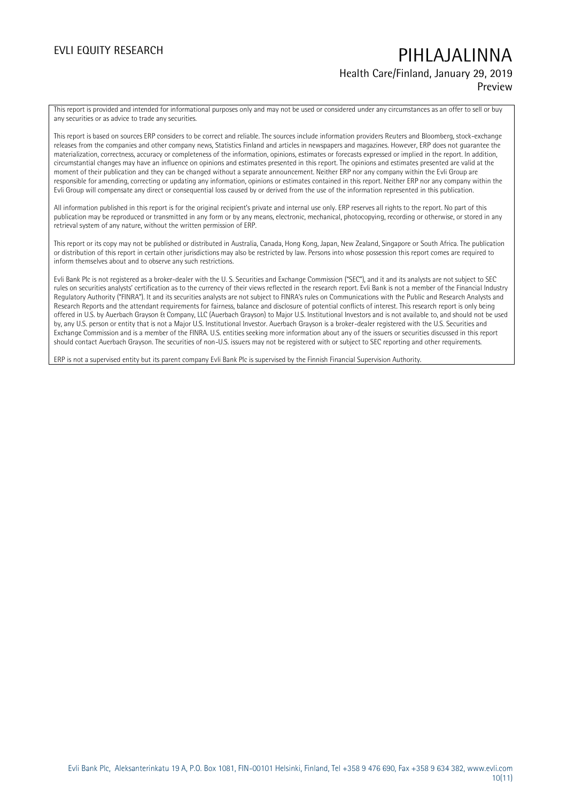### **Health Care/Finland, January 29, 2019 Preview**

This report is provided and intended for informational purposes only and may not be used or considered under any circumstances as an offer to sell or buy any securities or as advice to trade any securities.

This report is based on sources ERP considers to be correct and reliable. The sources include information providers Reuters and Bloomberg, stock-exchange releases from the companies and other company news, Statistics Finland and articles in newspapers and magazines. However, ERP does not guarantee the materialization, correctness, accuracy or completeness of the information, opinions, estimates or forecasts expressed or implied in the report. In addition, circumstantial changes may have an influence on opinions and estimates presented in this report. The opinions and estimates presented are valid at the moment of their publication and they can be changed without a separate announcement. Neither ERP nor any company within the Evli Group are responsible for amending, correcting or updating any information, opinions or estimates contained in this report. Neither ERP nor any company within the Evli Group will compensate any direct or consequential loss caused by or derived from the use of the information represented in this publication.

All information published in this report is for the original recipient's private and internal use only. ERP reserves all rights to the report. No part of this publication may be reproduced or transmitted in any form or by any means, electronic, mechanical, photocopying, recording or otherwise, or stored in any retrieval system of any nature, without the written permission of ERP.

This report or its copy may not be published or distributed in Australia, Canada, Hong Kong, Japan, New Zealand, Singapore or South Africa. The publication or distribution of this report in certain other jurisdictions may also be restricted by law. Persons into whose possession this report comes are required to inform themselves about and to observe any such restrictions.

Evli Bank Plc is not registered as a broker-dealer with the U. S. Securities and Exchange Commission ("SEC"), and it and its analysts are not subject to SEC rules on securities analysts' certification as to the currency of their views reflected in the research report. Evli Bank is not a member of the Financial Industry Regulatory Authority ("FINRA"). It and its securities analysts are not subject to FINRA's rules on Communications with the Public and Research Analysts and Research Reports and the attendant requirements for fairness, balance and disclosure of potential conflicts of interest. This research report is only being offered in U.S. by Auerbach Grayson & Company, LLC (Auerbach Grayson) to Major U.S. Institutional Investors and is not available to, and should not be used by, any U.S. person or entity that is not a Major U.S. Institutional Investor. Auerbach Grayson is a broker-dealer registered with the U.S. Securities and Exchange Commission and is a member of the FINRA. U.S. entities seeking more information about any of the issuers or securities discussed in this report should contact Auerbach Grayson. The securities of non-U.S. issuers may not be registered with or subject to SEC reporting and other requirements.

ERP is not a supervised entity but its parent company Evli Bank Plc is supervised by the Finnish Financial Supervision Authority.